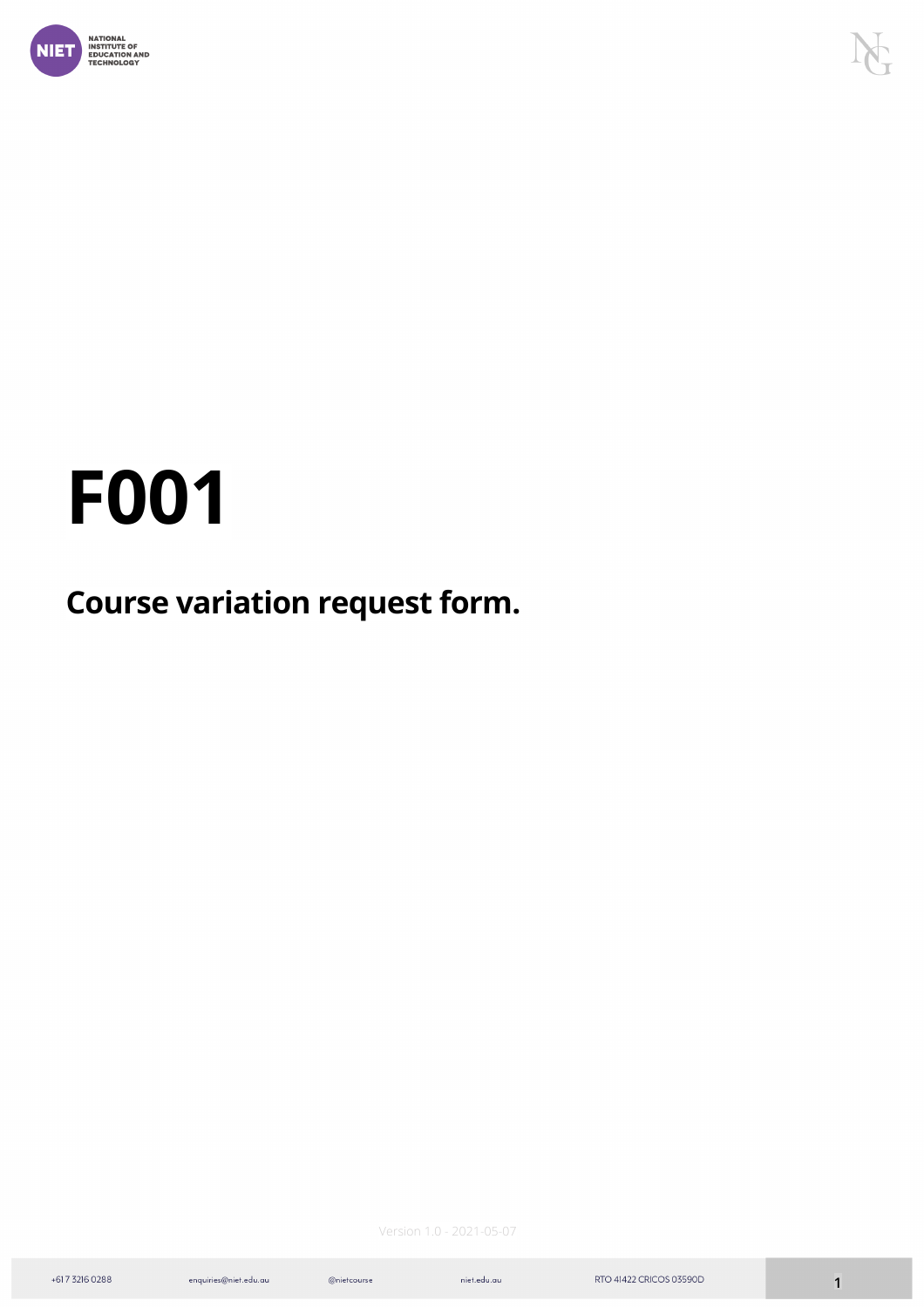

# **F001**

## **Course variation request form.**

Version 1.0 - 2021-05-07

 $@nietcourse$ 

enquiries@niet.edu.au

 $\label{eq:1} \textsf{niet.edu}.\textsf{au}$ 

+617 3216 0288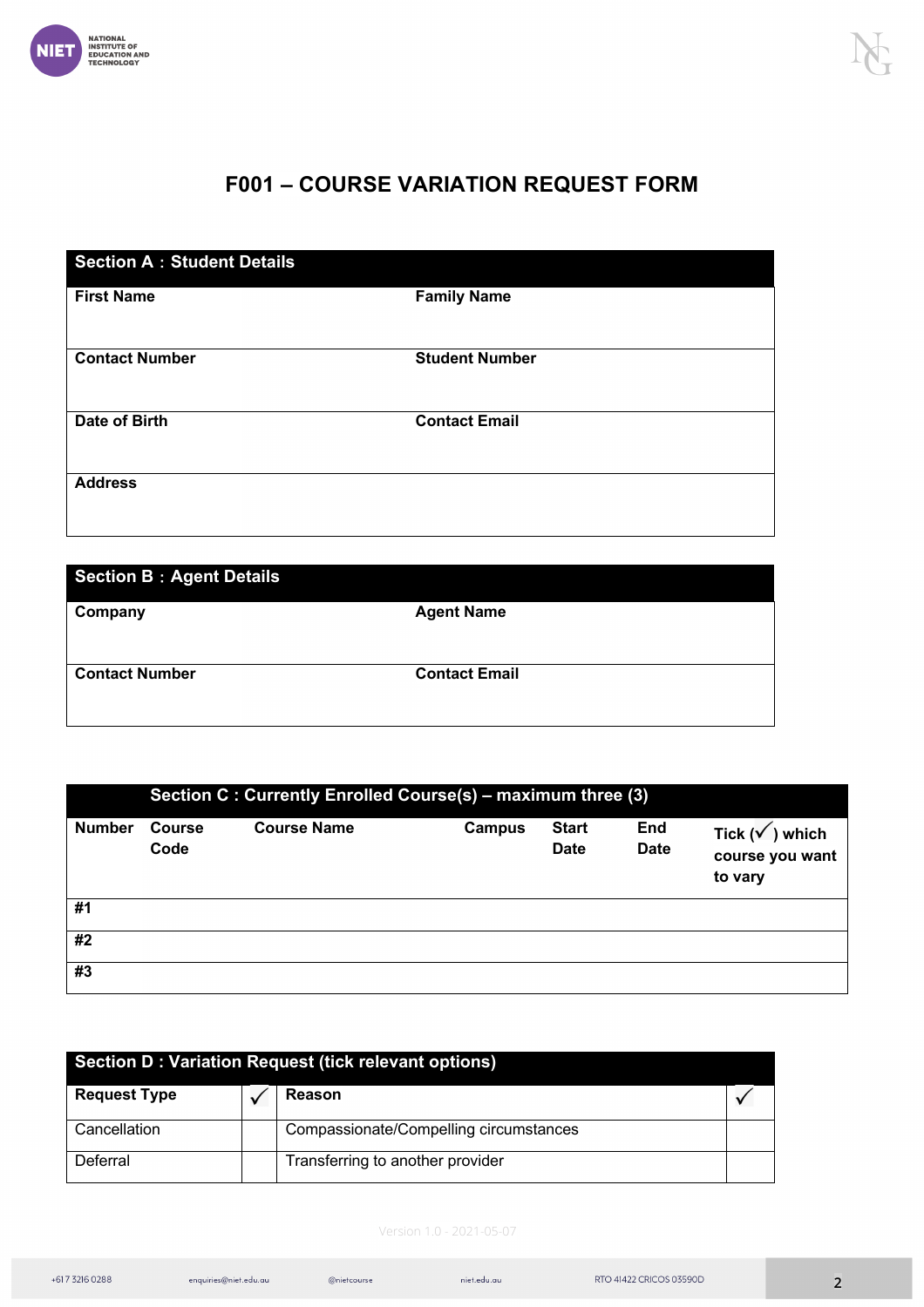

### **F001 – COURSE VARIATION REQUEST FORM**

| <b>Section A: Student Details</b> |                       |  |  |  |
|-----------------------------------|-----------------------|--|--|--|
| <b>First Name</b>                 | <b>Family Name</b>    |  |  |  |
| <b>Contact Number</b>             | <b>Student Number</b> |  |  |  |
| Date of Birth                     | <b>Contact Email</b>  |  |  |  |
| <b>Address</b>                    |                       |  |  |  |

| <b>Section B: Agent Details</b> |                      |  |  |
|---------------------------------|----------------------|--|--|
| Company                         | <b>Agent Name</b>    |  |  |
|                                 |                      |  |  |
| <b>Contact Number</b>           | <b>Contact Email</b> |  |  |
|                                 |                      |  |  |

|               | Section C : Currently Enrolled Course(s) - maximum three (3) |                    |               |                             |                           |                                                      |
|---------------|--------------------------------------------------------------|--------------------|---------------|-----------------------------|---------------------------|------------------------------------------------------|
| <b>Number</b> | <b>Course</b><br>Code                                        | <b>Course Name</b> | <b>Campus</b> | <b>Start</b><br><b>Date</b> | <b>End</b><br><b>Date</b> | Tick $(\sqrt{})$ which<br>course you want<br>to vary |
| #1            |                                                              |                    |               |                             |                           |                                                      |
| #2            |                                                              |                    |               |                             |                           |                                                      |
| #3            |                                                              |                    |               |                             |                           |                                                      |

| Section D : Variation Request (tick relevant options) |  |                                        |  |  |
|-------------------------------------------------------|--|----------------------------------------|--|--|
| <b>Request Type</b>                                   |  | Reason                                 |  |  |
| Cancellation                                          |  | Compassionate/Compelling circumstances |  |  |
| Deferral                                              |  | Transferring to another provider       |  |  |

#### Version 1.0 - 2021-05-07

 $@niet course \label{def:1}$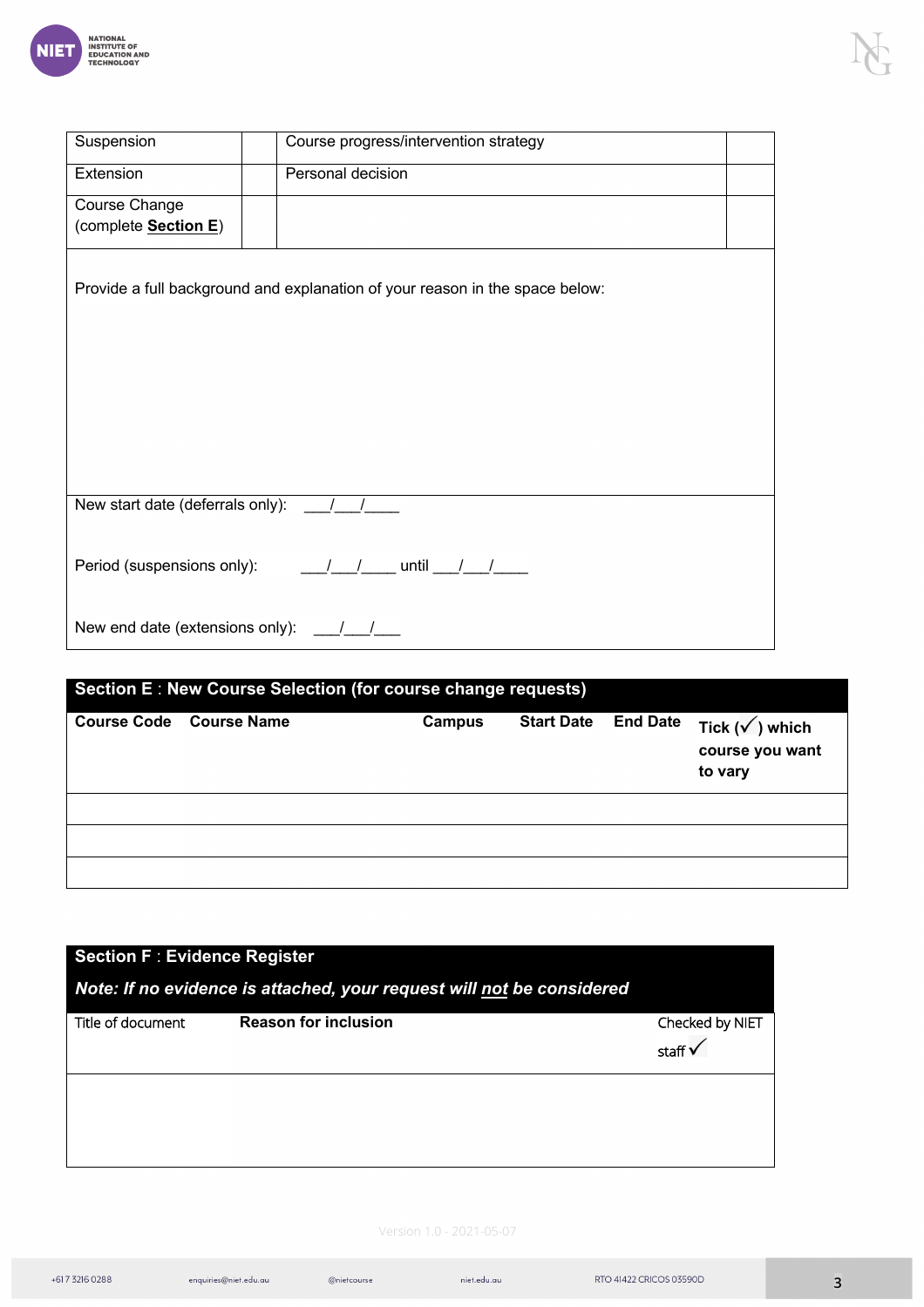

| Suspension                                                                                         | Course progress/intervention strategy                                        |  |  |  |
|----------------------------------------------------------------------------------------------------|------------------------------------------------------------------------------|--|--|--|
| Extension                                                                                          | Personal decision                                                            |  |  |  |
| Course Change<br>(complete Section E)                                                              |                                                                              |  |  |  |
|                                                                                                    |                                                                              |  |  |  |
|                                                                                                    | Provide a full background and explanation of your reason in the space below: |  |  |  |
|                                                                                                    |                                                                              |  |  |  |
|                                                                                                    |                                                                              |  |  |  |
|                                                                                                    |                                                                              |  |  |  |
|                                                                                                    |                                                                              |  |  |  |
|                                                                                                    |                                                                              |  |  |  |
|                                                                                                    |                                                                              |  |  |  |
| New start date (deferrals only):                                                                   |                                                                              |  |  |  |
|                                                                                                    |                                                                              |  |  |  |
| Period (suspensions only): $\frac{1}{\sqrt{1-\frac{1}{2}}}$ until $\frac{1}{\sqrt{1-\frac{1}{2}}}$ |                                                                              |  |  |  |
|                                                                                                    |                                                                              |  |  |  |
| New end date (extensions only): __/__                                                              |                                                                              |  |  |  |

| Section E: New Course Selection (for course change requests) |                         |        |                   |  |                                                                       |
|--------------------------------------------------------------|-------------------------|--------|-------------------|--|-----------------------------------------------------------------------|
|                                                              | Course Code Course Name | Campus | <b>Start Date</b> |  | End Date $\mathsf{Tick}(\sqrt{})$ which<br>course you want<br>to vary |
|                                                              |                         |        |                   |  |                                                                       |
|                                                              |                         |        |                   |  |                                                                       |
|                                                              |                         |        |                   |  |                                                                       |

| <b>Section F: Evidence Register</b><br>Note: If no evidence is attached, your request will not be considered |                             |  |                                       |  |
|--------------------------------------------------------------------------------------------------------------|-----------------------------|--|---------------------------------------|--|
| Title of document                                                                                            | <b>Reason for inclusion</b> |  | Checked by NIET<br>staff $\mathsf{v}$ |  |
|                                                                                                              |                             |  |                                       |  |
|                                                                                                              |                             |  |                                       |  |

#### Version 1.0 - 2021-05-07

 $@niet course \label{def:1}$